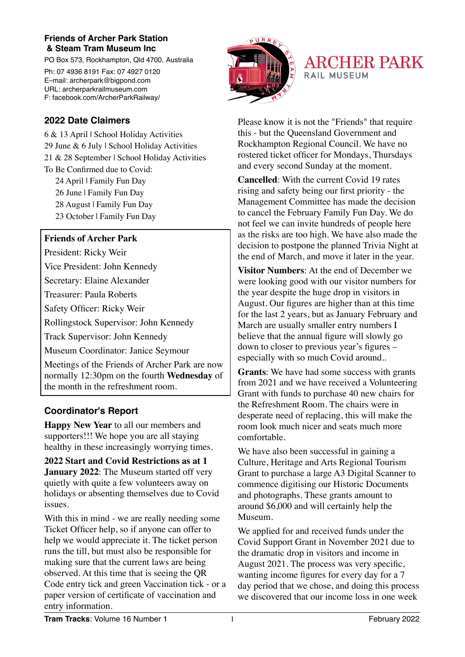## **Friends of Archer Park Station & Steam Tram Museum Inc**

PO Box 573, Rockhampton, Qld 4700, Australia Ph: 07 4936 8191 Fax: 07 4927 0120 E–mail: archerpark@bigpond.com URL: archerparkrailmuseum.com

F: facebook.com/ArcherParkRailway/



**ARCHER PARK RAIL MUSEUM** 

## **2022 Date Claimers**

6 & 13 April | School Holiday Activities 29 June & 6 July | School Holiday Activities 21 & 28 September | School Holiday Activities To Be Confirmed due to Covid: 24 April | Family Fun Day 26 June | Family Fun Day

- 28 August | Family Fun Day
- 23 October | Family Fun Day

## **Friends of Archer Park**

President: Ricky Weir

Vice President: John Kennedy

Secretary: Elaine Alexander

Treasurer: Paula Roberts

Safety Officer: Ricky Weir

Rollingstock Supervisor: John Kennedy

Track Supervisor: John Kennedy

Museum Coordinator: Janice Seymour

Meetings of the Friends of Archer Park are now normally 12:30pm on the fourth **Wednesday** of the month in the refreshment room.

## **Coordinator's Report**

**Happy New Year** to all our members and supporters!!! We hope you are all staying healthy in these increasingly worrying times.

**2022 Start and Covid Restrictions as at 1 January 2022**: The Museum started off very quietly with quite a few volunteers away on holidays or absenting themselves due to Covid issues.

With this in mind - we are really needing some Ticket Officer help, so if anyone can offer to help we would appreciate it. The ticket person runs the till, but must also be responsible for making sure that the current laws are being observed. At this time that is seeing the QR Code entry tick and green Vaccination tick - or a paper version of certificate of vaccination and entry information.

this - but the Queensland Government and Rockhampton Regional Council. We have no rostered ticket officer for Mondays, Thursdays and every second Sunday at the moment. **Cancelled**: With the current Covid 19 rates

Please know it is not the "Friends" that require

rising and safety being our first priority - the Management Committee has made the decision to cancel the February Family Fun Day. We do not feel we can invite hundreds of people here as the risks are too high. We have also made the decision to postpone the planned Trivia Night at the end of March, and move it later in the year.

**Visitor Numbers**: At the end of December we were looking good with our visitor numbers for the year despite the huge drop in visitors in August. Our figures are higher than at this time for the last 2 years, but as January February and March are usually smaller entry numbers I believe that the annual figure will slowly go down to closer to previous year's figures – especially with so much Covid around..

**Grants**: We have had some success with grants from 2021 and we have received a Volunteering Grant with funds to purchase 40 new chairs for the Refreshment Room. The chairs were in desperate need of replacing, this will make the room look much nicer and seats much more comfortable.

We have also been successful in gaining a Culture, Heritage and Arts Regional Tourism Grant to purchase a large A3 Digital Scanner to commence digitising our Historic Documents and photographs. These grants amount to around \$6,000 and will certainly help the Museum.

We applied for and received funds under the Covid Support Grant in November 2021 due to the dramatic drop in visitors and income in August 2021. The process was very specific, wanting income figures for every day for a 7 day period that we chose, and doing this process we discovered that our income loss in one week